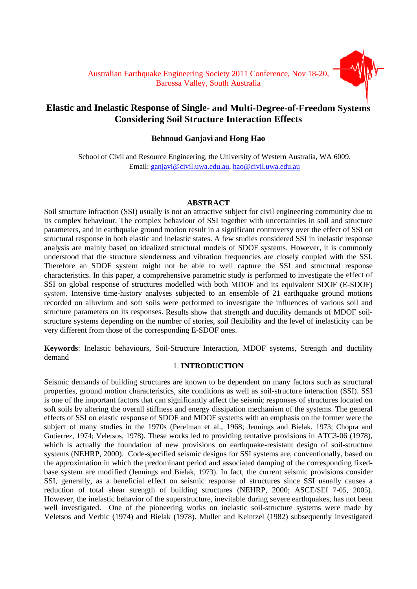# **Elastic and Inelastic Response of Single- and Multi-Degree-of-Freedom Systems Considering Soil Structure Interaction Effects**

## **Behnoud Ganjavi and Hong Hao**

School of Civil and Resource Engineering, the University of Western Australia, WA 6009. Email: ganjavi@civil.uwa.edu.au, hao@civil.uwa.edu.au

## **ABSTRACT**

Soil structure infraction (SSI) usually is not an attractive subject for civil engineering community due to its complex behaviour. The complex behaviour of SSI together with uncertainties in soil and structure parameters, and in earthquake ground motion result in a significant controversy over the effect of SSI on structural response in both elastic and inelastic states. A few studies considered SSI in inelastic response analysis are mainly based on idealized structural models of SDOF systems. However, it is commonly understood that the structure slenderness and vibration frequencies are closely coupled with the SSI. Therefore an SDOF system might not be able to well capture the SSI and structural response characteristics. In this paper, a comprehensive parametric study is performed to investigate the effect of SSI on global response of structures modelled with both MDOF and its equivalent SDOF (E-SDOF) system. Intensive time-history analyses subjected to an ensemble of 21 earthquake ground motions recorded on alluvium and soft soils were performed to investigate the influences of various soil and structure parameters on its responses. Results show that strength and ductility demands of MDOF soilstructure systems depending on the number of stories, soil flexibility and the level of inelasticity can be very different from those of the corresponding E-SDOF ones.

**Keywords**: Inelastic behaviours, Soil-Structure Interaction, MDOF systems, Strength and ductility demand

## 1. **INTRODUCTION**

Seismic demands of building structures are known to be dependent on many factors such as structural properties, ground motion characteristics, site conditions as well as soil-structure interaction (SSI). SSI is one of the important factors that can significantly affect the seismic responses of structures located on soft soils by altering the overall stiffness and energy dissipation mechanism of the systems. The general effects of SSI on elastic response of SDOF and MDOF systems with an emphasis on the former were the subject of many studies in the 1970s (Perelman et al., 1968; Jennings and Bielak, 1973; Chopra and Gutierrez, 1974; Veletsos, 1978). These works led to providing tentative provisions in ATC3-06 (1978), which is actually the foundation of new provisions on earthquake-resistant design of soil-structure systems (NEHRP, 2000). Code-specified seismic designs for SSI systems are, conventionally, based on the approximation in which the predominant period and associated damping of the corresponding fixedbase system are modified (Jennings and Bielak, 1973). In fact, the current seismic provisions consider SSI, generally, as a beneficial effect on seismic response of structures since SSI usually causes a reduction of total shear strength of building structures (NEHRP, 2000; ASCE/SEI 7-05, 2005). However, the inelastic behavior of the superstructure, inevitable during severe earthquakes, has not been well investigated. One of the pioneering works on inelastic soil-structure systems were made by Veletsos and Verbic (1974) and Bielak (1978). Muller and Keintzel (1982) subsequently investigated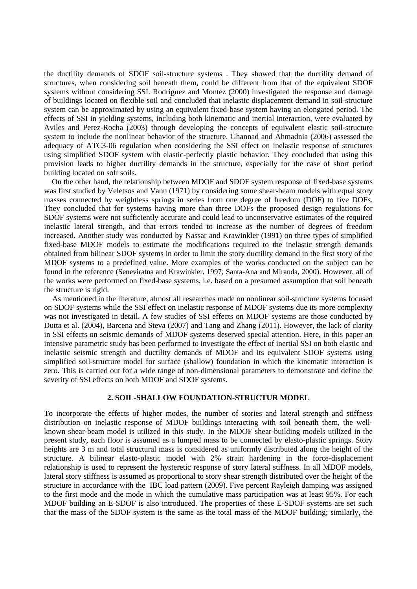the ductility demands of SDOF soil-structure systems . They showed that the ductility demand of structures, when considering soil beneath them, could be different from that of the equivalent SDOF systems without considering SSI. Rodriguez and Montez (2000) investigated the response and damage of buildings located on flexible soil and concluded that inelastic displacement demand in soil-structure system can be approximated by using an equivalent fixed-base system having an elongated period. The effects of SSI in yielding systems, including both kinematic and inertial interaction, were evaluated by Aviles and Perez-Rocha (2003) through developing the concepts of equivalent elastic soil-structure system to include the nonlinear behavior of the structure. Ghannad and Ahmadnia (2006) assessed the adequacy of ATC3-06 regulation when considering the SSI effect on inelastic response of structures using simplified SDOF system with elastic-perfectly plastic behavior. They concluded that using this provision leads to higher ductility demands in the structure, especially for the case of short period building located on soft soils.

 On the other hand, the relationship between MDOF and SDOF system response of fixed-base systems was first studied by Veletsos and Vann (1971) by considering some shear-beam models with equal story masses connected by weightless springs in series from one degree of freedom (DOF) to five DOFs. They concluded that for systems having more than three DOFs the proposed design regulations for SDOF systems were not sufficiently accurate and could lead to unconservative estimates of the required inelastic lateral strength, and that errors tended to increase as the number of degrees of freedom increased. Another study was conducted by Nassar and Krawinkler (1991) on three types of simplified fixed-base MDOF models to estimate the modifications required to the inelastic strength demands obtained from bilinear SDOF systems in order to limit the story ductility demand in the first story of the MDOF systems to a predefined value. More examples of the works conducted on the subject can be found in the reference (Seneviratna and Krawinkler, 1997; Santa-Ana and Miranda, 2000). However, all of the works were performed on fixed-base systems, i.e. based on a presumed assumption that soil beneath the structure is rigid.

As mentioned in the literature, almost all researches made on nonlinear soil-structure systems focused on SDOF systems while the SSI effect on inelastic response of MDOF systems due its more complexity was not investigated in detail. A few studies of SSI effects on MDOF systems are those conducted by Dutta et al. (2004), Barcena and Steva (2007) and Tang and Zhang (2011). However, the lack of clarity in SSI effects on seismic demands of MDOF systems deserved special attention. Here, in this paper an intensive parametric study has been performed to investigate the effect of inertial SSI on both elastic and inelastic seismic strength and ductility demands of MDOF and its equivalent SDOF systems using simplified soil-structure model for surface (shallow) foundation in which the kinematic interaction is zero. This is carried out for a wide range of non-dimensional parameters to demonstrate and define the severity of SSI effects on both MDOF and SDOF systems.

#### **2. SOIL-SHALLOW FOUNDATION-STRUCTUR MODEL**

To incorporate the effects of higher modes, the number of stories and lateral strength and stiffness distribution on inelastic response of MDOF buildings interacting with soil beneath them, the wellknown shear-beam model is utilized in this study. In the MDOF shear-building models utilized in the present study, each floor is assumed as a lumped mass to be connected by elasto-plastic springs. Story heights are 3 m and total structural mass is considered as uniformly distributed along the height of the structure. A bilinear elasto-plastic model with 2% strain hardening in the force-displacement relationship is used to represent the hysteretic response of story lateral stiffness. In all MDOF models, lateral story stiffness is assumed as proportional to story shear strength distributed over the height of the structure in accordance with the IBC load pattern (2009). Five percent Rayleigh damping was assigned to the first mode and the mode in which the cumulative mass participation was at least 95%. For each MDOF building an E-SDOF is also introduced. The properties of these E-SDOF systems are set such that the mass of the SDOF system is the same as the total mass of the MDOF building; similarly, the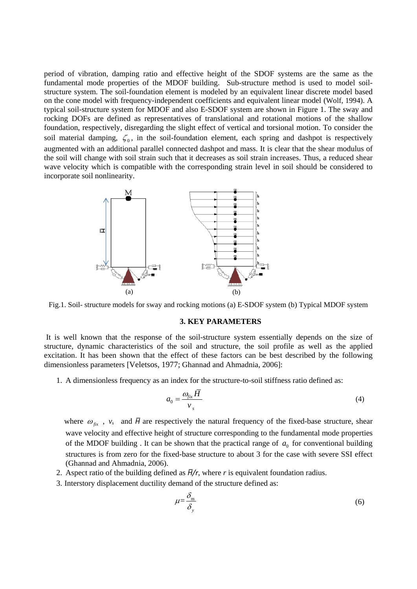period of vibration, damping ratio and effective height of the SDOF systems are the same as the fundamental mode properties of the MDOF building. Sub-structure method is used to model soilstructure system. The soil-foundation element is modeled by an equivalent linear discrete model based on the cone model with frequency-independent coefficients and equivalent linear model (Wolf, 1994). A typical soil-structure system for MDOF and also E-SDOF system are shown in Figure 1. The sway and rocking DOFs are defined as representatives of translational and rotational motions of the shallow foundation, respectively, disregarding the slight effect of vertical and torsional motion. To consider the soil material damping,  $\zeta_0$ , in the soil-foundation element, each spring and dashpot is respectively augmented with an additional parallel connected dashpot and mass. It is clear that the shear modulus of the soil will change with soil strain such that it decreases as soil strain increases. Thus, a reduced shear wave velocity which is compatible with the corresponding strain level in soil should be considered to incorporate soil nonlinearity.



Fig.1. Soil- structure models for sway and rocking motions (a) E-SDOF system (b) Typical MDOF system

#### **3. KEY PARAMETERS**

 It is well known that the response of the soil-structure system essentially depends on the size of structure, dynamic characteristics of the soil and structure, the soil profile as well as the applied excitation. It has been shown that the effect of these factors can be best described by the following dimensionless parameters [Veletsos, 1977; Ghannad and Ahmadnia, 2006]:

1. A dimensionless frequency as an index for the structure-to-soil stiffness ratio defined as:

$$
a_0 = \frac{\omega_{fix} \overline{H}}{v_s} \tag{4}
$$

where  $\omega_{fix}$ ,  $v_s$  and  $\bar{H}$  are respectively the natural frequency of the fixed-base structure, shear wave velocity and effective height of structure corresponding to the fundamental mode properties of the MDOF building . It can be shown that the practical range of  $a_0$  for conventional building structures is from zero for the fixed-base structure to about 3 for the case with severe SSI effect (Ghannad and Ahmadnia, 2006).

- 2. Aspect ratio of the building defined as *H/r*, where *r* is equivalent foundation radius.
- 3. Interstory displacement ductility demand of the structure defined as:

$$
\mu = \frac{\delta_{\rm m}}{\delta_{\rm y}}\tag{6}
$$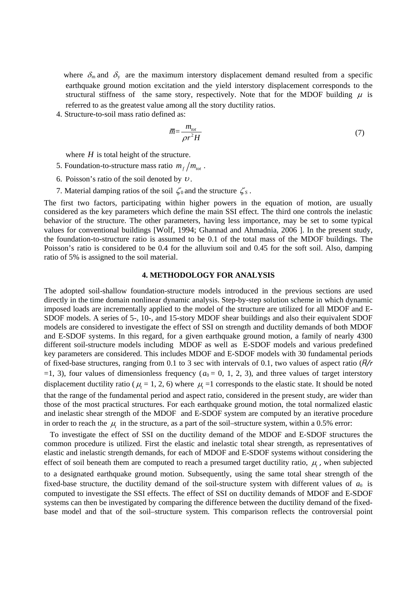where  $\delta_{\rm m}$  and  $\delta_{\rm y}$  are the maximum interstory displacement demand resulted from a specific earthquake ground motion excitation and the yield interstory displacement corresponds to the structural stiffness of the same story, respectively. Note that for the MDOF building  $\mu$  is referred to as the greatest value among all the story ductility ratios.

4. Structure-to-soil mass ratio defined as:

$$
\overline{m} = \frac{m_{tot}}{\rho r^2 H} \tag{7}
$$

where *H* is total height of the structure.

- 5. Foundation-to-structure mass ratio  $m_f/m_{tot}$ .
- 6. Poisson's ratio of the soil denoted by  $\nu$ .
- 7. Material damping ratios of the soil  $\zeta_0$  and the structure  $\zeta_s$ .

The first two factors, participating within higher powers in the equation of motion, are usually considered as the key parameters which define the main SSI effect. The third one controls the inelastic behavior of the structure. The other parameters, having less importance, may be set to some typical values for conventional buildings [Wolf, 1994; Ghannad and Ahmadnia, 2006 ]. In the present study, the foundation-to-structure ratio is assumed to be 0.1 of the total mass of the MDOF buildings. The Poisson's ratio is considered to be 0.4 for the alluvium soil and 0.45 for the soft soil. Also, damping ratio of 5% is assigned to the soil material.

#### **4. METHODOLOGY FOR ANALYSIS**

The adopted soil-shallow foundation-structure models introduced in the previous sections are used directly in the time domain nonlinear dynamic analysis. Step-by-step solution scheme in which dynamic imposed loads are incrementally applied to the model of the structure are utilized for all MDOF and E-SDOF models. A series of 5-, 10-, and 15-story MDOF shear buildings and also their equivalent SDOF models are considered to investigate the effect of SSI on strength and ductility demands of both MDOF and E-SDOF systems. In this regard, for a given earthquake ground motion, a family of nearly 4300 different soil-structure models including MDOF as well as E-SDOF models and various predefined key parameters are considered. This includes MDOF and E-SDOF models with 30 fundamental periods of fixed-base structures, ranging from 0.1 to 3 sec with intervals of 0.1, two values of aspect ratio (*H/r* =1, 3), four values of dimensionless frequency ( $a_0 = 0$ , 1, 2, 3), and three values of target interstory displacement ductility ratio ( $\mu$  = 1, 2, 6) where  $\mu$  =1 corresponds to the elastic state. It should be noted that the range of the fundamental period and aspect ratio, considered in the present study, are wider than those of the most practical structures. For each earthquake ground motion, the total normalized elastic and inelastic shear strength of the MDOF and E-SDOF system are computed by an iterative procedure in order to reach the  $\mu$  in the structure, as a part of the soil–structure system, within a 0.5% error:

 To investigate the effect of SSI on the ductility demand of the MDOF and E-SDOF structures the common procedure is utilized. First the elastic and inelastic total shear strength, as representatives of elastic and inelastic strength demands, for each of MDOF and E-SDOF systems without considering the effect of soil beneath them are computed to reach a presumed target ductility ratio,  $\mu$ , when subjected to a designated earthquake ground motion. Subsequently, using the same total shear strength of the fixed-base structure, the ductility demand of the soil-structure system with different values of  $a_0$  is computed to investigate the SSI effects. The effect of SSI on ductility demands of MDOF and E-SDOF systems can then be investigated by comparing the difference between the ductility demand of the fixedbase model and that of the soil–structure system. This comparison reflects the controversial point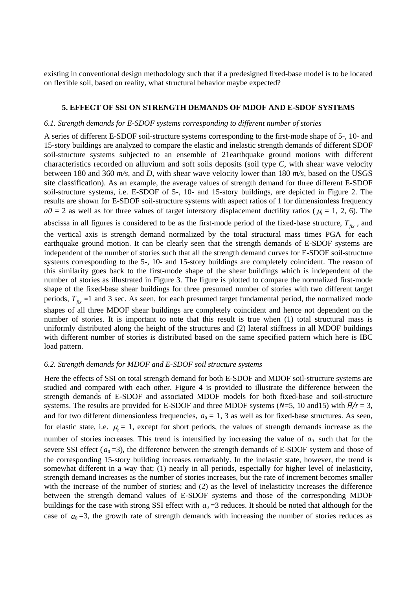existing in conventional design methodology such that if a predesigned fixed-base model is to be located on flexible soil, based on reality, what structural behavior maybe expected?

#### **5. EFFECT OF SSI ON STRENGTH DEMANDS OF MDOF AND E-SDOF SYSTEMS**

#### *6.1. Strength demands for E-SDOF systems corresponding to different number of stories*

A series of different E-SDOF soil-structure systems corresponding to the first-mode shape of 5-, 10- and 15-story buildings are analyzed to compare the elastic and inelastic strength demands of different SDOF soil-structure systems subjected to an ensemble of 21earthquake ground motions with different characteristics recorded on alluvium and soft soils deposits (soil type *C,* with shear wave velocity between 180 and 360 *m/s,* and *D*, with shear wave velocity lower than 180 *m/s,* based on the USGS site classification). As an example, the average values of strength demand for three different E-SDOF soil-structure systems, i.e. E-SDOF of 5-, 10- and 15-story buildings, are depicted in Figure 2. The results are shown for E-SDOF soil-structure systems with aspect ratios of 1 for dimensionless frequency  $a0 = 2$  as well as for three values of target interstory displacement ductility ratios ( $\mu$  = 1, 2, 6). The abscissa in all figures is considered to be as the first-mode period of the fixed-base structure,  $T_{fix}$ , and the vertical axis is strength demand normalized by the total structural mass times PGA for each earthquake ground motion. It can be clearly seen that the strength demands of E-SDOF systems are independent of the number of stories such that all the strength demand curves for E-SDOF soil-structure systems corresponding to the 5-, 10- and 15-story buildings are completely coincident. The reason of this similarity goes back to the first-mode shape of the shear buildings which is independent of the number of stories as illustrated in Figure 3. The figure is plotted to compare the normalized first-mode shape of the fixed-base shear buildings for three presumed number of stories with two different target periods,  $T_{fix}$  =1 and 3 sec. As seen, for each presumed target fundamental period, the normalized mode shapes of all three MDOF shear buildings are completely coincident and hence not dependent on the number of stories. It is important to note that this result is true when (1) total structural mass is uniformly distributed along the height of the structures and (2) lateral stiffness in all MDOF buildings with different number of stories is distributed based on the same specified pattern which here is IBC load pattern.

#### *6.2. Strength demands for MDOF and E-SDOF soil structure systems*

Here the effects of SSI on total strength demand for both E-SDOF and MDOF soil-structure systems are studied and compared with each other. Figure 4 is provided to illustrate the difference between the strength demands of E-SDOF and associated MDOF models for both fixed-base and soil-structure systems. The results are provided for E-SDOF and three MDOF systems (*N*=5, 10 and15) with *H/r* = 3, and for two different dimensionless frequencies,  $a_0 = 1$ , 3 as well as for fixed-base structures. As seen, for elastic state, i.e.  $\mu_t = 1$ , except for short periods, the values of strength demands increase as the number of stories increases. This trend is intensified by increasing the value of  $a_0$  such that for the severe SSI effect  $(a_0=3)$ , the difference between the strength demands of E-SDOF system and those of the corresponding 15-story building increases remarkably. In the inelastic state, however, the trend is somewhat different in a way that; (1) nearly in all periods, especially for higher level of inelasticity, strength demand increases as the number of stories increases, but the rate of increment becomes smaller with the increase of the number of stories; and (2) as the level of inelasticity increases the difference between the strength demand values of E-SDOF systems and those of the corresponding MDOF buildings for the case with strong SSI effect with  $a_0 = 3$  reduces. It should be noted that although for the case of  $a_0 = 3$ , the growth rate of strength demands with increasing the number of stories reduces as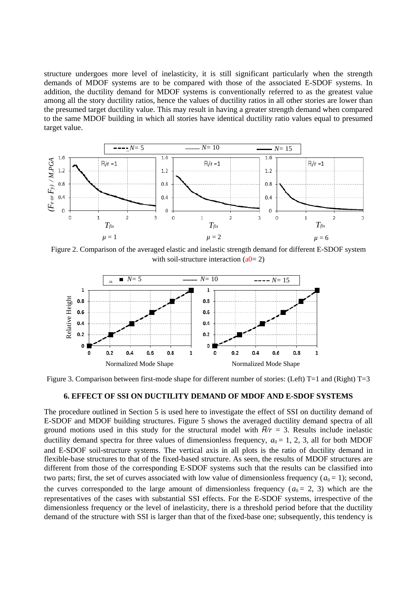structure undergoes more level of inelasticity, it is still significant particularly when the strength demands of MDOF systems are to be compared with those of the associated E-SDOF systems. In addition, the ductility demand for MDOF systems is conventionally referred to as the greatest value among all the story ductility ratios, hence the values of ductility ratios in all other stories are lower than the presumed target ductility value. This may result in having a greater strength demand when compared to the same MDOF building in which all stories have identical ductility ratio values equal to presumed target value.



Figure 2. Comparison of the averaged elastic and inelastic strength demand for different E-SDOF system with soil-structure interaction  $(a0=2)$ 



Figure 3. Comparison between first-mode shape for different number of stories: (Left) T=1 and (Right) T=3

## **6. EFFECT OF SSI ON DUCTILITY DEMAND OF MDOF AND E-SDOF SYSTEMS**

The procedure outlined in Section 5 is used here to investigate the effect of SSI on ductility demand of E-SDOF and MDOF building structures. Figure 5 shows the averaged ductility demand spectra of all ground motions used in this study for the structural model with  $\overline{H}/r = 3$ . Results include inelastic ductility demand spectra for three values of dimensionless frequency,  $a_0 = 1, 2, 3$ , all for both MDOF and E-SDOF soil-structure systems. The vertical axis in all plots is the ratio of ductility demand in flexible-base structures to that of the fixed-based structure. As seen, the results of MDOF structures are different from those of the corresponding E-SDOF systems such that the results can be classified into two parts; first, the set of curves associated with low value of dimensionless frequency  $(a_0 = 1)$ ; second, the curves corresponded to the large amount of dimensionless frequency ( $a_0 = 2$ , 3) which are the representatives of the cases with substantial SSI effects. For the E-SDOF systems, irrespective of the dimensionless frequency or the level of inelasticity, there is a threshold period before that the ductility demand of the structure with SSI is larger than that of the fixed-base one; subsequently, this tendency is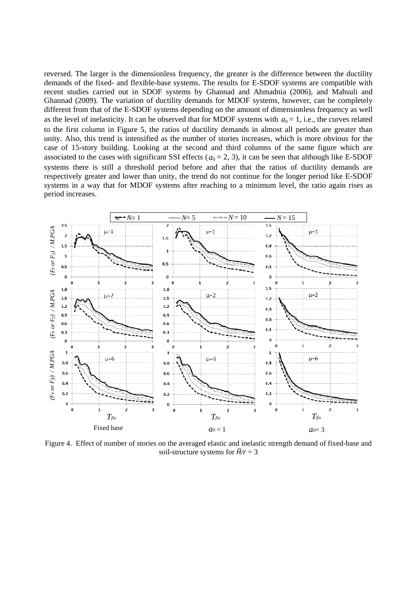reversed. The larger is the dimensionless frequency, the greater is the difference between the ductility demands of the fixed- and flexible-base systems. The results for E-SDOF systems are compatible with recent studies carried out in SDOF systems by Ghannad and Ahmadnia (2006), and Mahsuli and Ghannad (2009). The variation of ductility demands for MDOF systems, however, can be completely different from that of the E-SDOF systems depending on the amount of dimensionless frequency as well as the level of inelasticity. It can be observed that for MDOF systems with  $a_0 = 1$ , i.e., the curves related to the first column in Figure 5, the ratios of ductility demands in almost all periods are greater than unity. Also, this trend is intensified as the number of stories increases, which is more obvious for the case of 15-story building. Looking at the second and third columns of the same figure which are associated to the cases with significant SSI effects ( $a_0 = 2$ , 3), it can be seen that although like E-SDOF systems there is still a threshold period before and after that the ratios of ductility demands are respectively greater and lower than unity, the trend do not continue for the longer period like E-SDOF systems in a way that for MDOF systems after reaching to a minimum level, the ratio again rises as period increases.



Figure 4. Effect of number of stories on the averaged elastic and inelastic strength demand of fixed-base and soil-structure systems for *H/r* = 3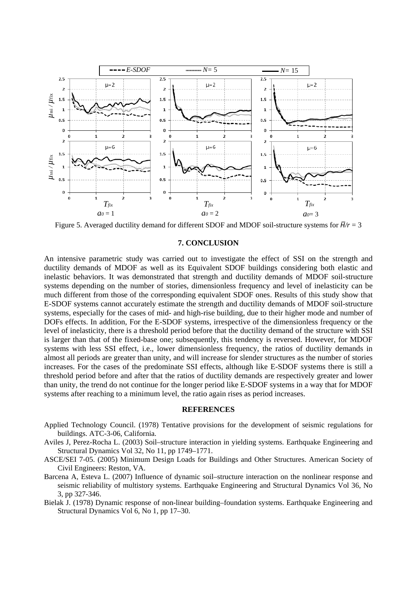

Figure 5. Averaged ductility demand for different SDOF and MDOF soil-structure systems for *H/r* = 3

#### **7. CONCLUSION**

An intensive parametric study was carried out to investigate the effect of SSI on the strength and ductility demands of MDOF as well as its Equivalent SDOF buildings considering both elastic and inelastic behaviors. It was demonstrated that strength and ductility demands of MDOF soil-structure systems depending on the number of stories, dimensionless frequency and level of inelasticity can be much different from those of the corresponding equivalent SDOF ones. Results of this study show that E-SDOF systems cannot accurately estimate the strength and ductility demands of MDOF soil-structure systems, especially for the cases of mid- and high-rise building, due to their higher mode and number of DOFs effects. In addition, For the E-SDOF systems, irrespective of the dimensionless frequency or the level of inelasticity, there is a threshold period before that the ductility demand of the structure with SSI is larger than that of the fixed-base one; subsequently, this tendency is reversed. However, for MDOF systems with less SSI effect, i.e., lower dimensionless frequency, the ratios of ductility demands in almost all periods are greater than unity, and will increase for slender structures as the number of stories increases. For the cases of the predominate SSI effects, although like E-SDOF systems there is still a threshold period before and after that the ratios of ductility demands are respectively greater and lower than unity, the trend do not continue for the longer period like E-SDOF systems in a way that for MDOF systems after reaching to a minimum level, the ratio again rises as period increases.

## **REFERENCES**

- Applied Technology Council. (1978) Tentative provisions for the development of seismic regulations for buildings. ATC-3-06, California.
- Aviles J, Perez-Rocha L. (2003) Soil–structure interaction in yielding systems. Earthquake Engineering and Structural Dynamics Vol 32, No 11, pp 1749–1771.
- ASCE/SEI 7-05. (2005) Minimum Design Loads for Buildings and Other Structures. American Society of Civil Engineers: Reston, VA.
- Barcena A, Esteva L. (2007) Influence of dynamic soil–structure interaction on the nonlinear response and seismic reliability of multistory systems. Earthquake Engineering and Structural Dynamics Vol 36, No 3, pp 327-346.
- Bielak J. (1978) Dynamic response of non-linear building–foundation systems. Earthquake Engineering and Structural Dynamics Vol 6, No 1, pp 17–30.